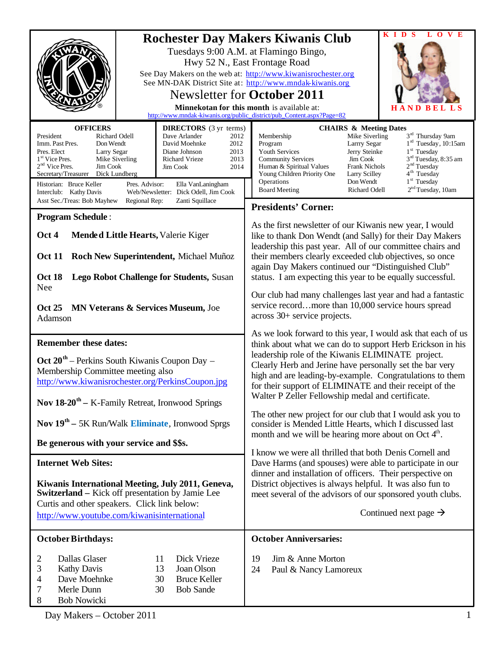| <b>Rochester Day Makers Kiwanis Club</b><br>Tuesdays 9:00 A.M. at Flamingo Bingo,<br>Hwy 52 N., East Frontage Road<br>See Day Makers on the web at: http://www.kiwanisrochester.org<br>See MN-DAK District Site at: http://www.mndak-kiwanis.org<br><b>Newsletter for October 2011</b><br>Minnekotan for this month is available at:<br>http://www.mndak-kiwanis.org/public_district/pub_Content.aspx?Page=82 |                                                                                                                                                                                                       |                                                                                                                                                                                                                                                                                                                                                                                                                                                                                                                                              |
|---------------------------------------------------------------------------------------------------------------------------------------------------------------------------------------------------------------------------------------------------------------------------------------------------------------------------------------------------------------------------------------------------------------|-------------------------------------------------------------------------------------------------------------------------------------------------------------------------------------------------------|----------------------------------------------------------------------------------------------------------------------------------------------------------------------------------------------------------------------------------------------------------------------------------------------------------------------------------------------------------------------------------------------------------------------------------------------------------------------------------------------------------------------------------------------|
| <b>OFFICERS</b>                                                                                                                                                                                                                                                                                                                                                                                               | <b>DIRECTORS</b> (3 yr terms)                                                                                                                                                                         | <b>CHAIRS &amp; Meeting Dates</b>                                                                                                                                                                                                                                                                                                                                                                                                                                                                                                            |
| President<br>Richard Odell<br>Imm. Past Pres.<br>Don Wendt<br>Pres. Elect<br>Larry Segar<br>1 <sup>st</sup> Vice Pres.<br>Mike Siverling<br>$2nd$ Vice Pres.<br>Jim Cook<br>Secretary/Treasurer<br>Dick Lundberg<br>Historian: Bruce Keller<br>Pres. Advisor:<br>Interclub: Kathy Davis<br>Asst Sec./Treas: Bob Mayhew<br>Regional Rep:                                                                       | Dave Arlander<br>2012<br>David Moehnke<br>2012<br>Diane Johnson<br>2013<br>2013<br>Richard Vrieze<br>Jim Cook<br>2014<br>Ella VanLaningham<br>Web/Newsletter: Dick Odell, Jim Cook<br>Zanti Squillace | 3 <sup>rd</sup> Thursday 9am<br>Membership<br>Mike Siverling<br>$1rd$ Tuesday, 10:15am<br>Larrry Segar<br>Program<br>$1st$ Tuesday<br>Youth Services<br>Jerry Steinke<br>3 <sup>rd</sup> Tuesday, 8:35 am<br><b>Community Services</b><br>Jim Cook<br>2 <sup>nd</sup> Tuesday<br>Human & Spiritual Values<br><b>Frank Nichols</b><br>4 <sup>th</sup> Tuesday<br>Young Children Priority One<br>Larry Scilley<br>1 <sup>st</sup> Tuesday<br>Operations<br>Don Wendt<br>2 <sup>nd</sup> Tuesday, 10am<br><b>Board Meeting</b><br>Richard Odell |
|                                                                                                                                                                                                                                                                                                                                                                                                               |                                                                                                                                                                                                       | <b>Presidents' Corner:</b>                                                                                                                                                                                                                                                                                                                                                                                                                                                                                                                   |
| <b>Program Schedule:</b><br>Mended Little Hearts, Valerie Kiger<br>Oct 4<br><b>Oct 11</b><br>Roch New Superintendent, Michael Muñoz<br><b>Lego Robot Challenge for Students, Susan</b><br><b>Oct 18</b><br>Nee                                                                                                                                                                                                |                                                                                                                                                                                                       | As the first newsletter of our Kiwanis new year, I would<br>like to thank Don Wendt (and Sally) for their Day Makers<br>leadership this past year. All of our committee chairs and<br>their members clearly exceeded club objectives, so once<br>again Day Makers continued our "Distinguished Club"<br>status. I am expecting this year to be equally successful.                                                                                                                                                                           |
| <b>Oct 25</b><br><b>MN Veterans &amp; Services Museum, Joe</b><br>Adamson                                                                                                                                                                                                                                                                                                                                     |                                                                                                                                                                                                       | Our club had many challenges last year and had a fantastic<br>service recordmore than 10,000 service hours spread<br>across 30+ service projects.                                                                                                                                                                                                                                                                                                                                                                                            |
| <b>Remember these dates:</b><br>$\text{Oct } 20^{\text{th}}$ – Perkins South Kiwanis Coupon Day –                                                                                                                                                                                                                                                                                                             |                                                                                                                                                                                                       | As we look forward to this year, I would ask that each of us<br>think about what we can do to support Herb Erickson in his<br>leadership role of the Kiwanis ELIMINATE project.<br>Clearly Herb and Jerine have personally set the bar very                                                                                                                                                                                                                                                                                                  |
| Membership Committee meeting also<br>http://www.kiwanisrochester.org/PerkinsCoupon.jpg                                                                                                                                                                                                                                                                                                                        |                                                                                                                                                                                                       | high and are leading-by-example. Congratulations to them<br>for their support of ELIMINATE and their receipt of the                                                                                                                                                                                                                                                                                                                                                                                                                          |
| <b>Nov 18-20<sup>th</sup></b> – K-Family Retreat, Ironwood Springs                                                                                                                                                                                                                                                                                                                                            |                                                                                                                                                                                                       | Walter P Zeller Fellowship medal and certificate.                                                                                                                                                                                                                                                                                                                                                                                                                                                                                            |
| Nov 19 <sup>th</sup> – 5K Run/Walk Eliminate, Ironwood Sprgs                                                                                                                                                                                                                                                                                                                                                  |                                                                                                                                                                                                       | The other new project for our club that I would ask you to<br>consider is Mended Little Hearts, which I discussed last<br>month and we will be hearing more about on Oct $4th$ .                                                                                                                                                                                                                                                                                                                                                             |
| Be generous with your service and \$\$s.                                                                                                                                                                                                                                                                                                                                                                      |                                                                                                                                                                                                       | I know we were all thrilled that both Denis Cornell and                                                                                                                                                                                                                                                                                                                                                                                                                                                                                      |
| <b>Internet Web Sites:</b>                                                                                                                                                                                                                                                                                                                                                                                    |                                                                                                                                                                                                       | Dave Harms (and spouses) were able to participate in our                                                                                                                                                                                                                                                                                                                                                                                                                                                                                     |
| Kiwanis International Meeting, July 2011, Geneva,<br><b>Switzerland</b> – Kick off presentation by Jamie Lee<br>Curtis and other speakers. Click link below:<br>http://www.youtube.com/kiwanisinternational                                                                                                                                                                                                   |                                                                                                                                                                                                       | dinner and installation of officers. Their perspective on<br>District objectives is always helpful. It was also fun to<br>meet several of the advisors of our sponsored youth clubs.<br>Continued next page $\rightarrow$                                                                                                                                                                                                                                                                                                                    |
| <b>October Birthdays:</b>                                                                                                                                                                                                                                                                                                                                                                                     |                                                                                                                                                                                                       | <b>October Anniversaries:</b>                                                                                                                                                                                                                                                                                                                                                                                                                                                                                                                |
| Dallas Glaser<br>2<br>11<br>3<br><b>Kathy Davis</b><br>13<br>Dave Moehnke<br>30<br>4<br>Merle Dunn<br>30<br>7<br>8<br><b>Bob Nowicki</b>                                                                                                                                                                                                                                                                      | Dick Vrieze<br>Joan Olson<br><b>Bruce Keller</b><br><b>Bob Sande</b>                                                                                                                                  | 19<br>Jim & Anne Morton<br>24<br>Paul & Nancy Lamoreux                                                                                                                                                                                                                                                                                                                                                                                                                                                                                       |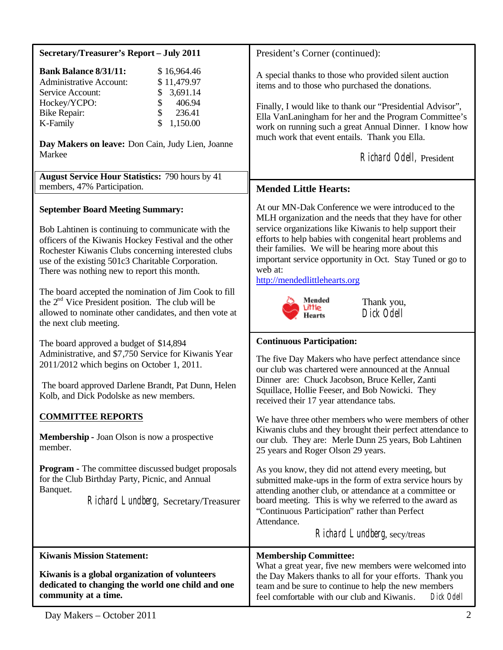| <b>Secretary/Treasurer's Report - July 2011</b>                                                                                                                                                                                                                                                                                                                                                                                                                                                                       | President's Corner (continued):                                                                                                                                                                                                                                                                                                                                                                                                             |
|-----------------------------------------------------------------------------------------------------------------------------------------------------------------------------------------------------------------------------------------------------------------------------------------------------------------------------------------------------------------------------------------------------------------------------------------------------------------------------------------------------------------------|---------------------------------------------------------------------------------------------------------------------------------------------------------------------------------------------------------------------------------------------------------------------------------------------------------------------------------------------------------------------------------------------------------------------------------------------|
| <b>Bank Balance 8/31/11:</b><br>\$16,964.46<br><b>Administrative Account:</b><br>\$11,479.97<br>3,691.14<br>Service Account:<br>\$<br>\$<br>Hockey/YCPO:<br>406.94<br>\$<br>236.41<br>Bike Repair:<br>\$<br>1,150.00<br>K-Family<br>Day Makers on leave: Don Cain, Judy Lien, Joanne                                                                                                                                                                                                                                  | A special thanks to those who provided silent auction<br>items and to those who purchased the donations.<br>Finally, I would like to thank our "Presidential Advisor",<br>Ella VanLaningham for her and the Program Committee's<br>work on running such a great Annual Dinner. I know how<br>much work that event entails. Thank you Ella.                                                                                                  |
| Markee                                                                                                                                                                                                                                                                                                                                                                                                                                                                                                                | Richard Odell, President                                                                                                                                                                                                                                                                                                                                                                                                                    |
| <b>August Service Hour Statistics: 790 hours by 41</b><br>members, 47% Participation.                                                                                                                                                                                                                                                                                                                                                                                                                                 | <b>Mended Little Hearts:</b>                                                                                                                                                                                                                                                                                                                                                                                                                |
| <b>September Board Meeting Summary:</b><br>Bob Lahtinen is continuing to communicate with the<br>officers of the Kiwanis Hockey Festival and the other<br>Rochester Kiwanis Clubs concerning interested clubs<br>use of the existing 501c3 Charitable Corporation.<br>There was nothing new to report this month.<br>The board accepted the nomination of Jim Cook to fill<br>the $2nd$ Vice President position. The club will be<br>allowed to nominate other candidates, and then vote at<br>the next club meeting. | At our MN-Dak Conference we were introduced to the<br>MLH organization and the needs that they have for other<br>service organizations like Kiwanis to help support their<br>efforts to help babies with congenital heart problems and<br>their families. We will be hearing more about this<br>important service opportunity in Oct. Stay Tuned or go to<br>web at:<br>http://mendedlittlehearts.org<br>Mended<br>Thank you,<br>Dick Odell |
| The board approved a budget of \$14,894<br>Administrative, and \$7,750 Service for Kiwanis Year<br>2011/2012 which begins on October 1, 2011.<br>The board approved Darlene Brandt, Pat Dunn, Helen<br>Kolb, and Dick Podolske as new members.                                                                                                                                                                                                                                                                        | <b>Continuous Participation:</b><br>The five Day Makers who have perfect attendance since<br>our club was chartered were announced at the Annual<br>Dinner are: Chuck Jacobson, Bruce Keller, Zanti<br>Squillace, Hollie Feeser, and Bob Nowicki. They<br>received their 17 year attendance tabs.                                                                                                                                           |
| <b>COMMITTEE REPORTS</b><br><b>Membership - Joan Olson is now a prospective</b><br>member.                                                                                                                                                                                                                                                                                                                                                                                                                            | We have three other members who were members of other<br>Kiwanis clubs and they brought their perfect attendance to<br>our club. They are: Merle Dunn 25 years, Bob Lahtinen<br>25 years and Roger Olson 29 years.                                                                                                                                                                                                                          |
| <b>Program - The committee discussed budget proposals</b><br>for the Club Birthday Party, Picnic, and Annual<br>Banquet.<br>Richard Lundberg, Secretary/Treasurer                                                                                                                                                                                                                                                                                                                                                     | As you know, they did not attend every meeting, but<br>submitted make-ups in the form of extra service hours by<br>attending another club, or attendance at a committee or<br>board meeting. This is why we referred to the award as<br>"Continuous Participation" rather than Perfect<br>Attendance.<br>Richard Lundberg, secy/treas                                                                                                       |
| <b>Kiwanis Mission Statement:</b><br>Kiwanis is a global organization of volunteers<br>dedicated to changing the world one child and one<br>community at a time.                                                                                                                                                                                                                                                                                                                                                      | <b>Membership Committee:</b><br>What a great year, five new members were welcomed into<br>the Day Makers thanks to all for your efforts. Thank you<br>team and be sure to continue to help the new members<br>feel comfortable with our club and Kiwanis.<br>Dick Odell                                                                                                                                                                     |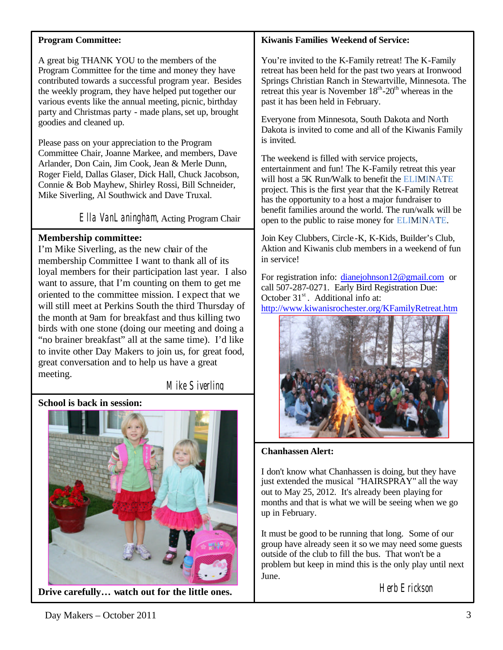### **Program Committee:**

A great big THANK YOU to the members of the Program Committee for the time and money they have contributed towards a successful program year. Besides the weekly program, they have helped put together our various events like the annual meeting, picnic, birthday party and Christmas party - made plans, set up, brought goodies and cleaned up.

Please pass on your appreciation to the Program Committee Chair, Joanne Markee, and members, Dave Arlander, Don Cain, Jim Cook, Jean & Merle Dunn, Roger Field, Dallas Glaser, Dick Hall, Chuck Jacobson, Connie & Bob Mayhew, Shirley Rossi, Bill Schneider, Mike Siverling, Al Southwick and Dave Truxal.

Ella VanLaningham, Acting Program Chair

# **Membership committee:**

I'm Mike Siverling, as the new chair of the membership Committee I want to thank all of its loyal members for their participation last year. I also want to assure, that I'm counting on them to get me oriented to the committee mission. I expect that we will still meet at Perkins South the third Thursday of the month at 9am for breakfast and thus killing two birds with one stone (doing our meeting and doing a "no brainer breakfast" all at the same time). I'd like to invite other Day Makers to join us, for great food, great conversation and to help us have a great meeting.

Mike Siverling

# **School is back in session:**



**Drive carefully… watch out for the little ones.**

## **Kiwanis Families Weekend of Service:**

You're invited to the K-Family retreat! The K-Family retreat has been held for the past two years at Ironwood Springs Christian Ranch in Stewartville, Minnesota. The retreat this year is November  $18<sup>th</sup> - 20<sup>th</sup>$  whereas in the past it has been held in February.

Everyone from Minnesota, South Dakota and North Dakota is invited to come and all of the Kiwanis Family is invited.

The weekend is filled with service projects, entertainment and fun! The K-Family retreat this year will host a 5K Run/Walk to benefit the ELIMINATE project. This is the first year that the K-Family Retreat has the opportunity to a host a major fundraiser to benefit families around the world. The run/walk will be open to the public to raise money for ELIMINATE.

Join Key Clubbers, Circle -K, K-Kids, Builder's Club, Aktion and Kiwanis club members in a weekend of fun in service!

For registration info: dianejohnson12@gmail.com or call 507-287-0271. Early Bird Registration Due: October  $31<sup>st</sup>$ . Additional info at:

<http://www.kiwanisrochester.org/KFamilyRetreat.htm>



**Chanhassen Alert:**

I don't know what Chanhassen is doing, but they have just extended the musical "HAIRSPRAY" all the way out to May 25, 2012. It's already been playing for months and that is what we will be seeing when we go up in February.

It must be good to be running that long. Some of our group have already seen it so we may need some guests outside of the club to fill the bus. That won't be a problem but keep in mind this is the only play until next June.

Herb Erickson